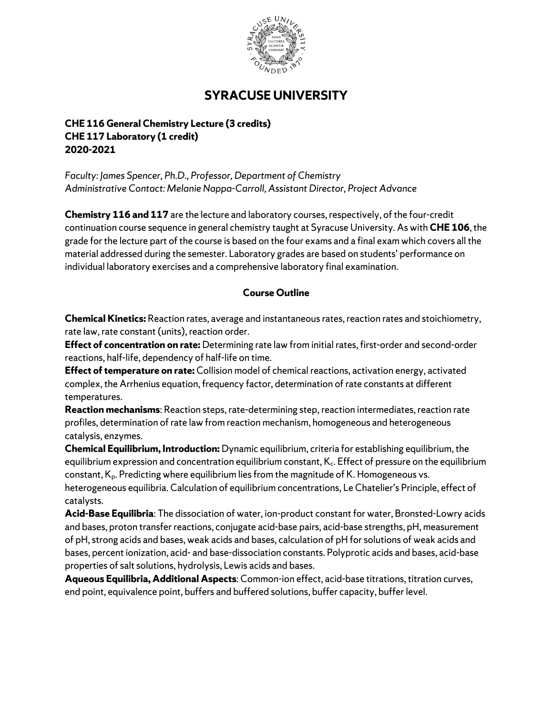

## **SYRACUSE UNIVERSITY**

**CHE 116 General Chemistry Lecture (3 credits) CHE 117 Laboratory (1 credit) 2020-2021**

*Faculty: James Spencer, Ph.D., Professor, Department of Chemistry Administrative Contact: Melanie Nappa-Carroll, Assistant Director, Project Advance*

**Chemistry 116 and 117** are the lecture and laboratory courses, respectively, of the four-credit continuation course sequence in general chemistry taught at Syracuse University. As with **CHE 106**, the grade for the lecture part of the course is based on the four exams and a final exam which covers all the material addressed during the semester. Laboratory grades are based on students' performance on individual laboratory exercises and a comprehensive laboratory final examination.

## **Course Outline**

**Chemical Kinetics:** Reaction rates, average and instantaneous rates, reaction rates and stoichiometry, rate law, rate constant (units), reaction order.

**Effect of concentration on rate:** Determining rate law from initial rates, first-order and second-order reactions, half-life, dependency of half-life on time.

**Effect of temperature on rate:** Collision model of chemical reactions, activation energy, activated complex, the Arrhenius equation, frequency factor, determination of rate constants at different temperatures.

**Reaction mechanisms**: Reaction steps, rate-determining step, reaction intermediates, reaction rate profiles, determination of rate law from reaction mechanism, homogeneous and heterogeneous catalysis, enzymes.

**Chemical Equilibrium, Introduction:** Dynamic equilibrium, criteria for establishing equilibrium, the equilibrium expression and concentration equilibrium constant, K<sub>c</sub>. Effect of pressure on the equilibrium constant, K<sub>p</sub>. Predicting where equilibrium lies from the magnitude of K. Homogeneous vs. heterogeneous equilibria. Calculation of equilibrium concentrations, Le Chatelier's Principle, effect of catalysts.

**Acid-Base Equilibria**: The dissociation of water, ion-product constant for water, Bronsted-Lowry acids and bases, proton transfer reactions, conjugate acid-base pairs, acid-base strengths, pH, measurement of pH, strong acids and bases, weak acids and bases, calculation of pH for solutions of weak acids and bases, percent ionization, acid- and base-dissociation constants. Polyprotic acids and bases, acid-base properties of salt solutions, hydrolysis, Lewis acids and bases.

**Aqueous Equilibria, Additional Aspects**: Common-ion effect, acid-base titrations, titration curves, end point, equivalence point, buffers and buffered solutions, buffer capacity, buffer level.